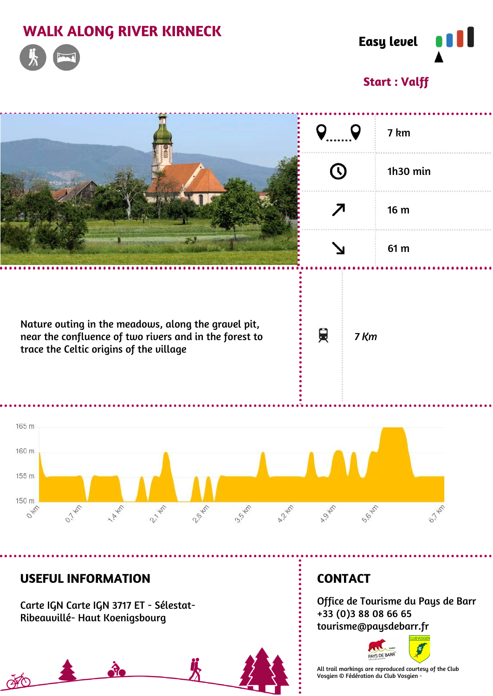# **WALK ALONG RIVER KIRNECK**





## **Start : Valff**

|                                                                                                                                                          |                 | 7 km     |
|----------------------------------------------------------------------------------------------------------------------------------------------------------|-----------------|----------|
|                                                                                                                                                          |                 | 1h30 min |
|                                                                                                                                                          | 7               | 16 m     |
| m.                                                                                                                                                       |                 | 61 m     |
| Nature outing in the meadows, along the gravel pit,<br>near the confluence of two rivers and in the forest to<br>trace the Celtic origins of the village | 貝<br>7 Km       |          |
| 165 m                                                                                                                                                    |                 |          |
| 160 m<br>155 m                                                                                                                                           |                 |          |
| 150 m<br>0.745<br>2,745<br><b>ARKED</b><br><b>9.55 - 65</b><br>OKIT<br>2-8-KM<br>A Z KEP                                                                 | AS KM<br>S.6 KM | 6.145    |

### **USEFUL INFORMATION**

Carte IGN Carte IGN 3717 ET - Sélestat- Ribeauvillé- Haut Koenigsbourg

# ...................... FO

# **CONTACT**

Office de Tourisme du Pays de Barr +33 (0)3 88 08 66 65 tourisme@paysdebarr.fr



All trail markings are reproduced courtesy of the Club Vosgien © Fédération du Club Vosgien -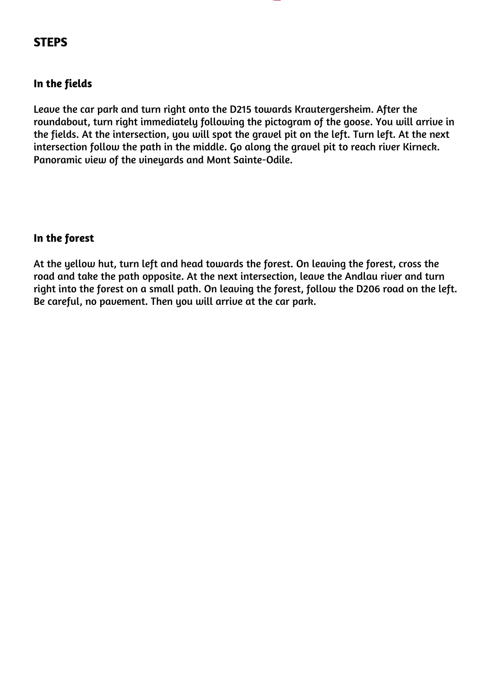## **STEPS**

#### **In the fields**

Leave the car park and turn right onto the D215 towards Krautergersheim. After the roundabout, turn right immediately following the pictogram of the goose. You will arrive in the fields. At the intersection, you will spot the gravel pit on the left. Turn left. At the next intersection follow the path in the middle. Go along the gravel pit to reach river Kirneck. Panoramic view of the vineuards and Mont Sainte-Odile.

#### **In the forest**

At the yellow hut, turn left and head towards the forest. On leaving the forest, cross the road and take the path opposite. At the next intersection, leave the Andlau river and turn right into the forest on a small path. On leaving the forest, follow the D206 road on the left. Be careful, no pavement. Then you will arrive at the car park.